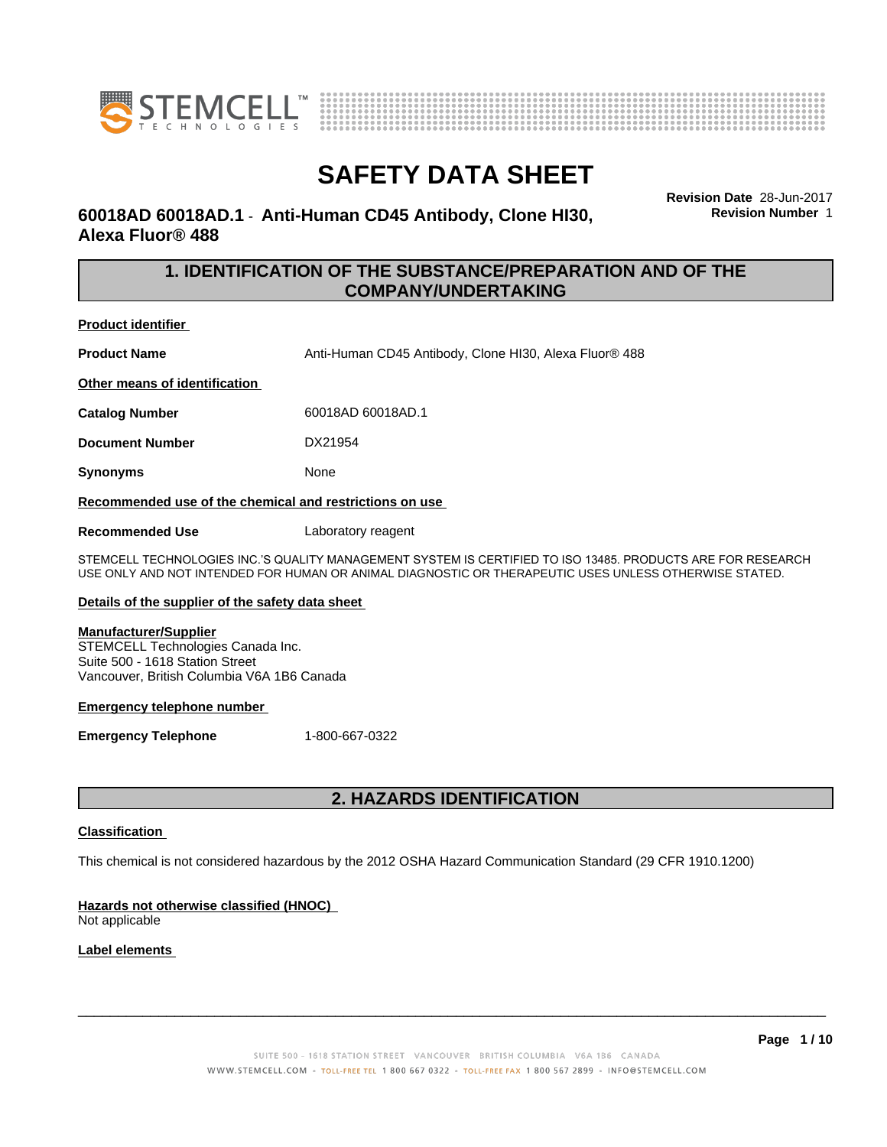



# **60018AD 60018AD.1** - **Anti-Human CD45 Antibody, Clone HI30, Alexa Fluor® 488**

**Revision Date** 28-Jun-2017 **Revision Number** 1

# **1. IDENTIFICATION OF THE SUBSTANCE/PREPARATION AND OF THE COMPANY/UNDERTAKING**

**Product identifier**

**Product Name** Anti-Human CD45 Antibody, Clone HI30, Alexa Fluor<sup>®</sup> 488

**Other means of identification**

**Catalog Number** 60018AD 60018AD.1

**Document Number** DX21954

**Synonyms** None

**Recommended use of the chemical and restrictions on use**

**Recommended Use** Laboratory reagent

STEMCELL TECHNOLOGIES INC.'S QUALITY MANAGEMENT SYSTEM IS CERTIFIED TO ISO 13485. PRODUCTS ARE FOR RESEARCH USE ONLY AND NOT INTENDED FOR HUMAN OR ANIMAL DIAGNOSTIC OR THERAPEUTIC USES UNLESS OTHERWISE STATED.

### **Details of the supplier of the safety data sheet**

### **Manufacturer/Supplier**

STEMCELL Technologies Canada Inc. Suite 500 - 1618 Station Street Vancouver, British Columbia V6A 1B6 Canada

### **Emergency telephone number**

**Emergency Telephone** 1-800-667-0322

# **2. HAZARDS IDENTIFICATION**

### **Classification**

This chemical is not considered hazardous by the 2012 OSHA Hazard Communication Standard (29 CFR 1910.1200)

## **Hazards not otherwise classified (HNOC)**

Not applicable

### **Label elements**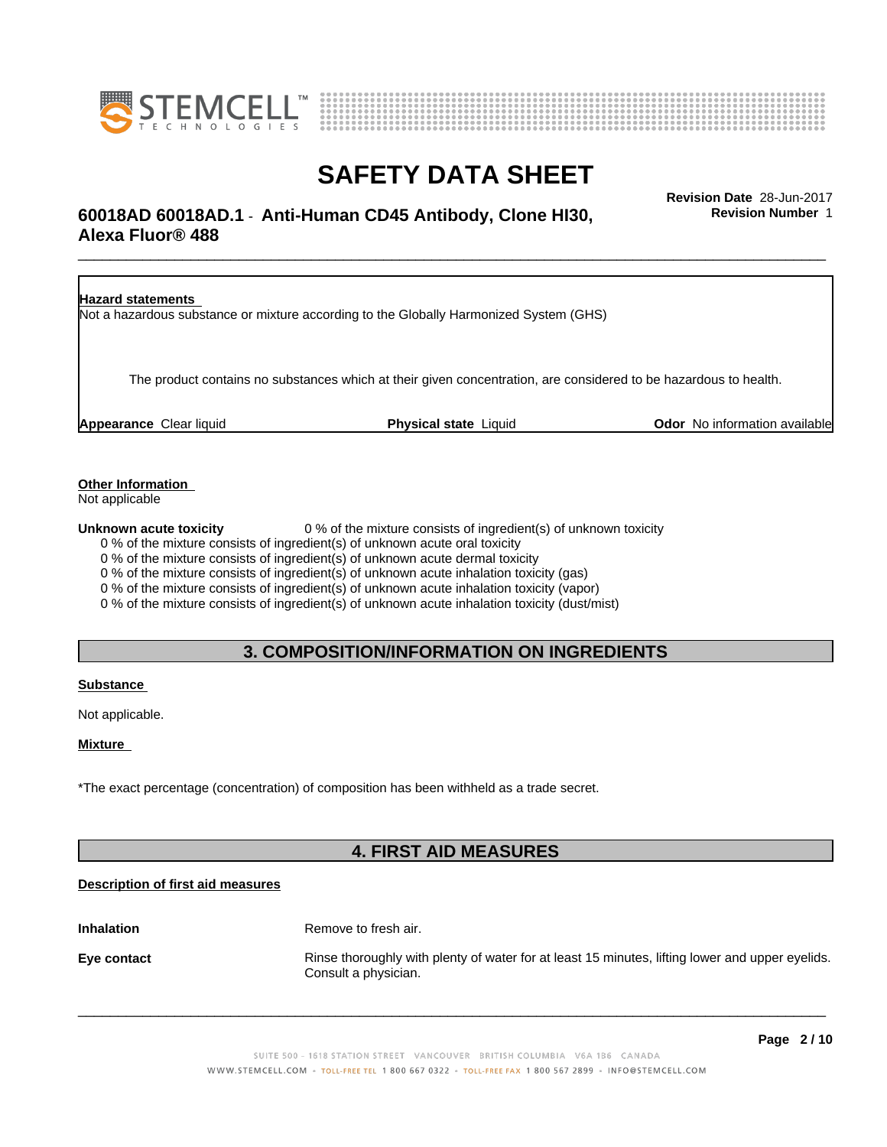



# \_\_\_\_\_\_\_\_\_\_\_\_\_\_\_\_\_\_\_\_\_\_\_\_\_\_\_\_\_\_\_\_\_\_\_\_\_\_\_\_\_\_\_\_\_\_\_\_\_\_\_\_\_\_\_\_\_\_\_\_\_\_\_\_\_\_\_\_\_\_\_\_\_\_\_\_\_\_\_\_\_\_\_\_\_\_\_\_\_\_\_\_\_ **Revision Date** 28-Jun-2017 **60018AD 60018AD.1** - **Anti-Human CD45 Antibody, Clone HI30, Alexa Fluor® 488**

**Revision Number** 1



### **Other Information**

Not applicable

**Unknown acute toxicity** 0 % of the mixture consists of ingredient(s) of unknown toxicity

0 % of the mixture consists of ingredient(s) of unknown acute oral toxicity

0 % of the mixture consists of ingredient(s) of unknown acute dermal toxicity

0 % of the mixture consists of ingredient(s) of unknown acute inhalation toxicity (gas)

0 % of the mixture consists of ingredient(s) of unknown acute inhalation toxicity (vapor)

0 % of the mixture consists of ingredient(s) of unknown acute inhalation toxicity (dust/mist)

# **3. COMPOSITION/INFORMATION ON INGREDIENTS**

### **Substance**

Not applicable.

### **Mixture**

\*The exact percentage (concentration) of composition has been withheld as a trade secret.

# **4. FIRST AID MEASURES**

## **Description of first aid measures**

**Inhalation** Remove to fresh air. **Eye contact Rinse thoroughly with plenty of water for at least 15 minutes, lifting lower and upper eyelids.** Consult a physician.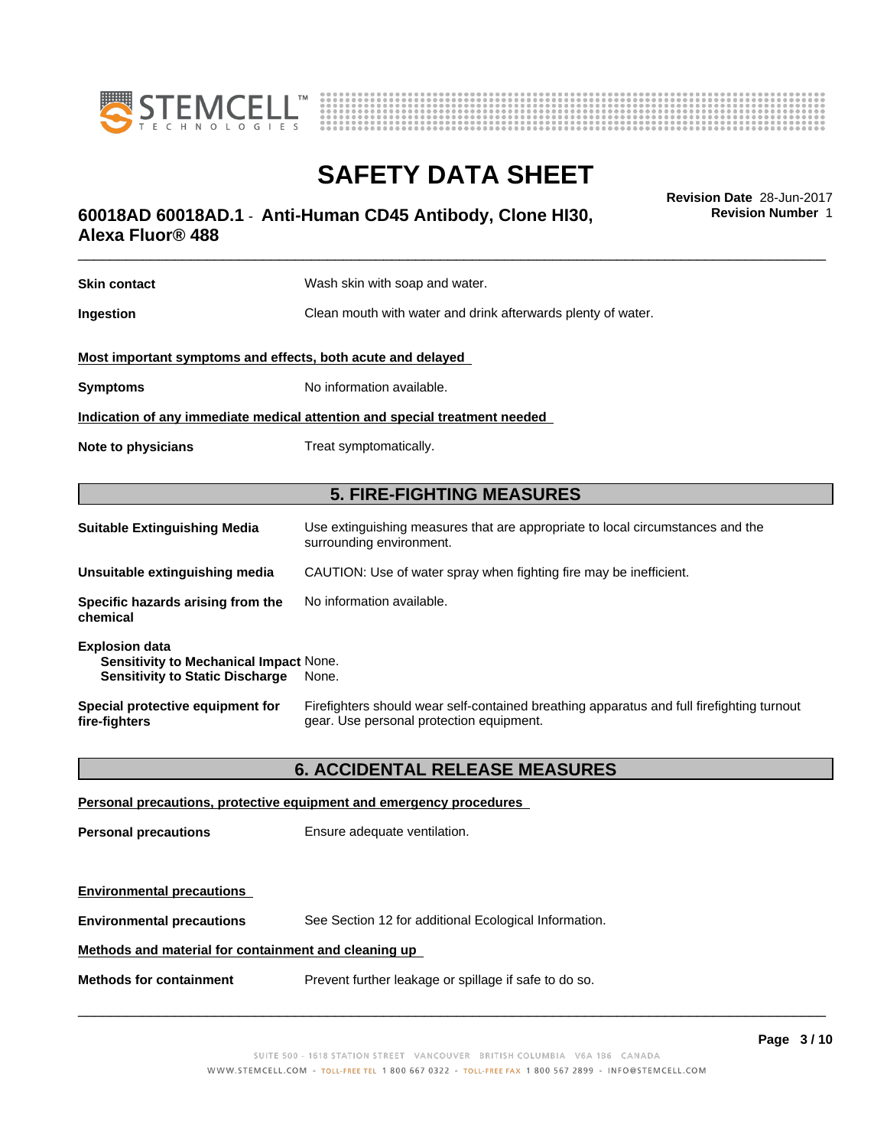



# \_\_\_\_\_\_\_\_\_\_\_\_\_\_\_\_\_\_\_\_\_\_\_\_\_\_\_\_\_\_\_\_\_\_\_\_\_\_\_\_\_\_\_\_\_\_\_\_\_\_\_\_\_\_\_\_\_\_\_\_\_\_\_\_\_\_\_\_\_\_\_\_\_\_\_\_\_\_\_\_\_\_\_\_\_\_\_\_\_\_\_\_\_ **Revision Date** 28-Jun-2017 **60018AD 60018AD.1** - **Anti-Human CD45 Antibody, Clone HI30, Alexa Fluor® 488**

**Skin contact** Wash skin with soap and water. **Ingestion** Clean mouth with water and drink afterwards plenty of water. **Most important symptoms and effects, both acute and delayed Symptoms** No information available. **Indication of any immediate medical attention and special treatment needed Note to physicians** Treat symptomatically. **5. FIRE-FIGHTING MEASURES Suitable Extinguishing Media** Use extinguishing measures that are appropriate to local circumstances and the surrounding environment. **Unsuitable extinguishing media** CAUTION: Use of water spray when fighting fire may be inefficient. **Specific hazards arising from the chemical** No information available. **Explosion data Sensitivity to Mechanical Impact** None. **Sensitivity to Static Discharge** None. **Special protective equipment for fire-fighters** Firefighters should wear self-contained breathing apparatus and full firefighting turnout gear. Use personal protection equipment.

## **6. ACCIDENTAL RELEASE MEASURES**

# **Personal precautions, protective equipment and emergency procedures Personal precautions** Ensure adequate ventilation. **Environmental precautions Environmental precautions** See Section 12 for additional Ecological Information. **Methods and material for containment and cleaning up Methods for containment** Prevent further leakage or spillage if safe to do so.

 $\overline{\phantom{a}}$  ,  $\overline{\phantom{a}}$  ,  $\overline{\phantom{a}}$  ,  $\overline{\phantom{a}}$  ,  $\overline{\phantom{a}}$  ,  $\overline{\phantom{a}}$  ,  $\overline{\phantom{a}}$  ,  $\overline{\phantom{a}}$  ,  $\overline{\phantom{a}}$  ,  $\overline{\phantom{a}}$  ,  $\overline{\phantom{a}}$  ,  $\overline{\phantom{a}}$  ,  $\overline{\phantom{a}}$  ,  $\overline{\phantom{a}}$  ,  $\overline{\phantom{a}}$  ,  $\overline{\phantom{a}}$ 

**Revision Number** 1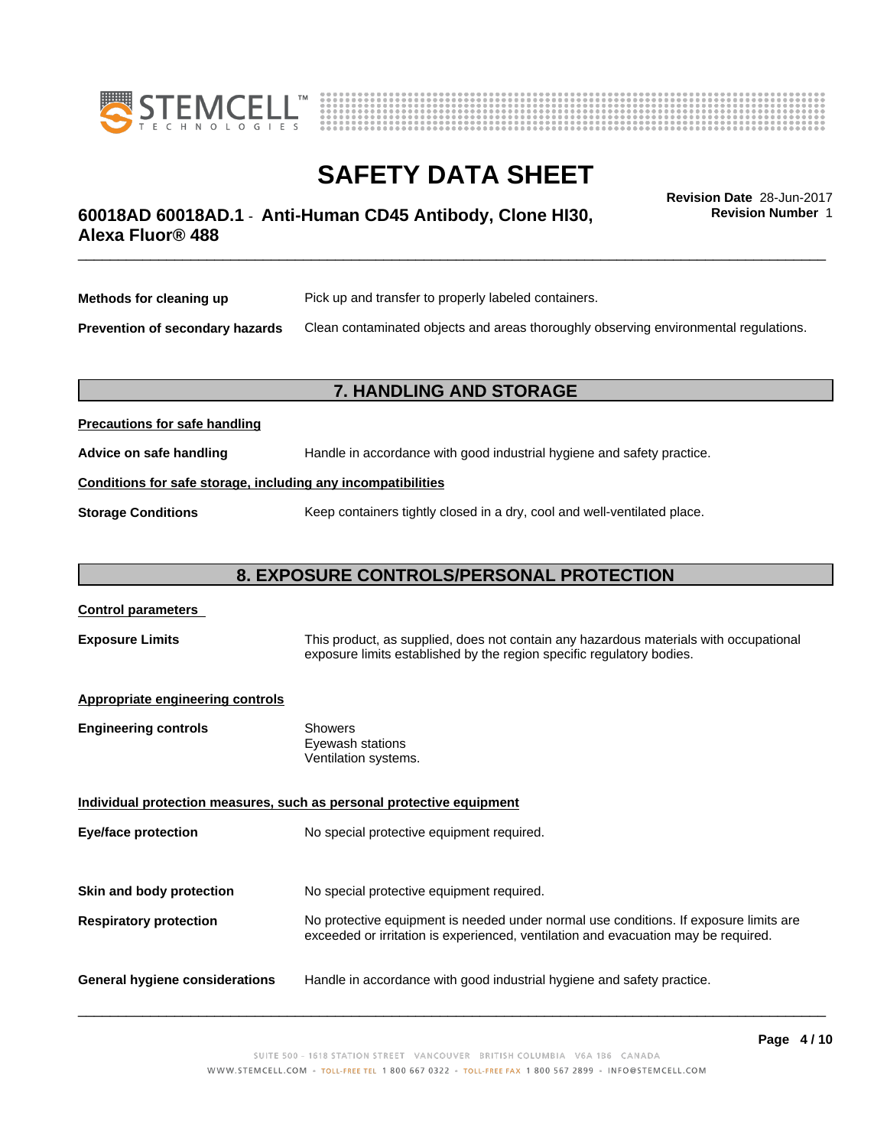



# \_\_\_\_\_\_\_\_\_\_\_\_\_\_\_\_\_\_\_\_\_\_\_\_\_\_\_\_\_\_\_\_\_\_\_\_\_\_\_\_\_\_\_\_\_\_\_\_\_\_\_\_\_\_\_\_\_\_\_\_\_\_\_\_\_\_\_\_\_\_\_\_\_\_\_\_\_\_\_\_\_\_\_\_\_\_\_\_\_\_\_\_\_ **Revision Date** 28-Jun-2017 **60018AD 60018AD.1** - **Anti-Human CD45 Antibody, Clone HI30, Alexa Fluor® 488**

**Revision Number** 1

| Methods for cleaning up                | Pick up and transfer to properly labeled containers.                                 |
|----------------------------------------|--------------------------------------------------------------------------------------|
| <b>Prevention of secondary hazards</b> | Clean contaminated objects and areas thoroughly observing environmental regulations. |

## **7. HANDLING AND STORAGE**

| <b>Precautions for safe handling</b>                         |                                                                          |
|--------------------------------------------------------------|--------------------------------------------------------------------------|
| Advice on safe handling                                      | Handle in accordance with good industrial hygiene and safety practice.   |
| Conditions for safe storage, including any incompatibilities |                                                                          |
| <b>Storage Conditions</b>                                    | Keep containers tightly closed in a dry, cool and well-ventilated place. |

# **8. EXPOSURE CONTROLS/PERSONAL PROTECTION**

## **Control parameters**

**Exposure Limits** This product, as supplied, does not contain any hazardous materials with occupational exposure limits established by the region specific regulatory bodies.

#### **Appropriate engineering controls**

| <b>Engineering controls</b> | Showers              |  |
|-----------------------------|----------------------|--|
|                             | Eyewash stations     |  |
|                             | Ventilation systems. |  |

**Individual protection measures, such as personal protective equipment Eye/face protection** No special protective equipment required. **Skin and body protection** No special protective equipment required.

## **Respiratory protection** No protective equipment is needed under normal use conditions. If exposure limits are exceeded or irritation is experienced, ventilation and evacuation may be required.

**General hygiene considerations** Handle in accordance with good industrial hygiene and safety practice.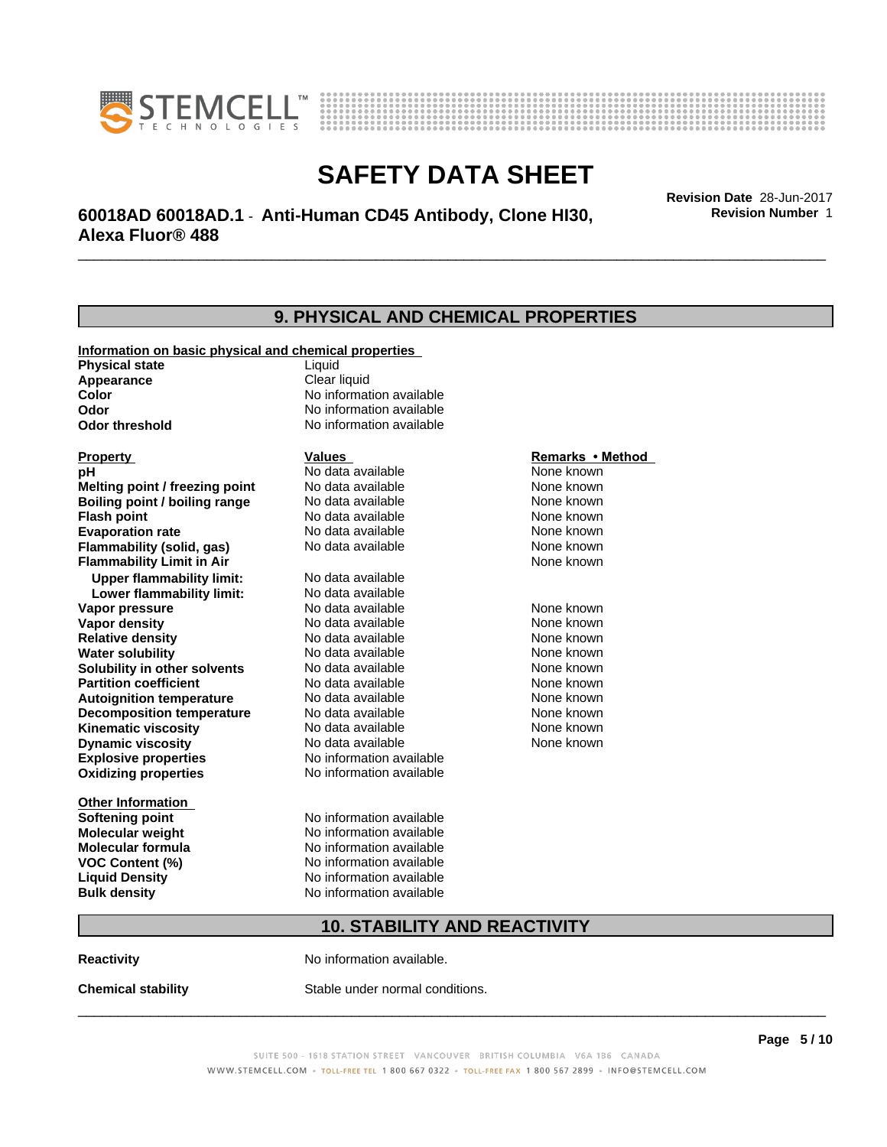



# \_\_\_\_\_\_\_\_\_\_\_\_\_\_\_\_\_\_\_\_\_\_\_\_\_\_\_\_\_\_\_\_\_\_\_\_\_\_\_\_\_\_\_\_\_\_\_\_\_\_\_\_\_\_\_\_\_\_\_\_\_\_\_\_\_\_\_\_\_\_\_\_\_\_\_\_\_\_\_\_\_\_\_\_\_\_\_\_\_\_\_\_\_ **Revision Date** 28-Jun-2017 **60018AD 60018AD.1** - **Anti-Human CD45 Antibody, Clone HI30, Alexa Fluor® 488**

**Revision Number** 1

|                                                       | <b>9. PHYSICAL AND CHEMICAL PROPERTIES</b> |                  |  |
|-------------------------------------------------------|--------------------------------------------|------------------|--|
| Information on basic physical and chemical properties |                                            |                  |  |
| <b>Physical state</b>                                 | Liquid                                     |                  |  |
| Appearance                                            | Clear liquid                               |                  |  |
| Color                                                 | No information available                   |                  |  |
| Odor                                                  | No information available                   |                  |  |
| <b>Odor threshold</b>                                 | No information available                   |                  |  |
| <b>Property</b>                                       | Values                                     | Remarks • Method |  |
| рH                                                    | No data available                          | None known       |  |
| Melting point / freezing point                        | No data available                          | None known       |  |
| <b>Boiling point / boiling range</b>                  | No data available                          | None known       |  |
| <b>Flash point</b>                                    | No data available                          | None known       |  |
| <b>Evaporation rate</b>                               | No data available                          | None known       |  |
| Flammability (solid, gas)                             | No data available                          | None known       |  |
| <b>Flammability Limit in Air</b>                      |                                            | None known       |  |
| <b>Upper flammability limit:</b>                      | No data available                          |                  |  |
| Lower flammability limit:                             | No data available                          |                  |  |
| Vapor pressure                                        | No data available                          | None known       |  |
| <b>Vapor density</b>                                  | No data available                          | None known       |  |
| <b>Relative density</b>                               | No data available                          | None known       |  |
| <b>Water solubility</b>                               | No data available                          | None known       |  |
| Solubility in other solvents                          | No data available                          | None known       |  |
| <b>Partition coefficient</b>                          | No data available                          | None known       |  |
| <b>Autoignition temperature</b>                       | No data available                          | None known       |  |
| <b>Decomposition temperature</b>                      | No data available                          | None known       |  |
| <b>Kinematic viscosity</b>                            | No data available                          | None known       |  |
| <b>Dynamic viscosity</b>                              | No data available                          | None known       |  |
| <b>Explosive properties</b>                           | No information available                   |                  |  |
| <b>Oxidizing properties</b>                           | No information available                   |                  |  |
| <b>Other Information</b>                              |                                            |                  |  |
| <b>Softening point</b>                                | No information available                   |                  |  |
| <b>Molecular weight</b>                               | No information available                   |                  |  |
| <b>Molecular formula</b>                              | No information available                   |                  |  |
| <b>VOC Content (%)</b>                                | No information available                   |                  |  |
| <b>Liquid Density</b>                                 | No information available                   |                  |  |
| <b>Bulk density</b>                                   | No information available                   |                  |  |
|                                                       | <b>10. STABILITY AND REACTIVITY</b>        |                  |  |
| Reactivitv                                            | No information available.                  |                  |  |

**Chemical stability** Stable under normal conditions.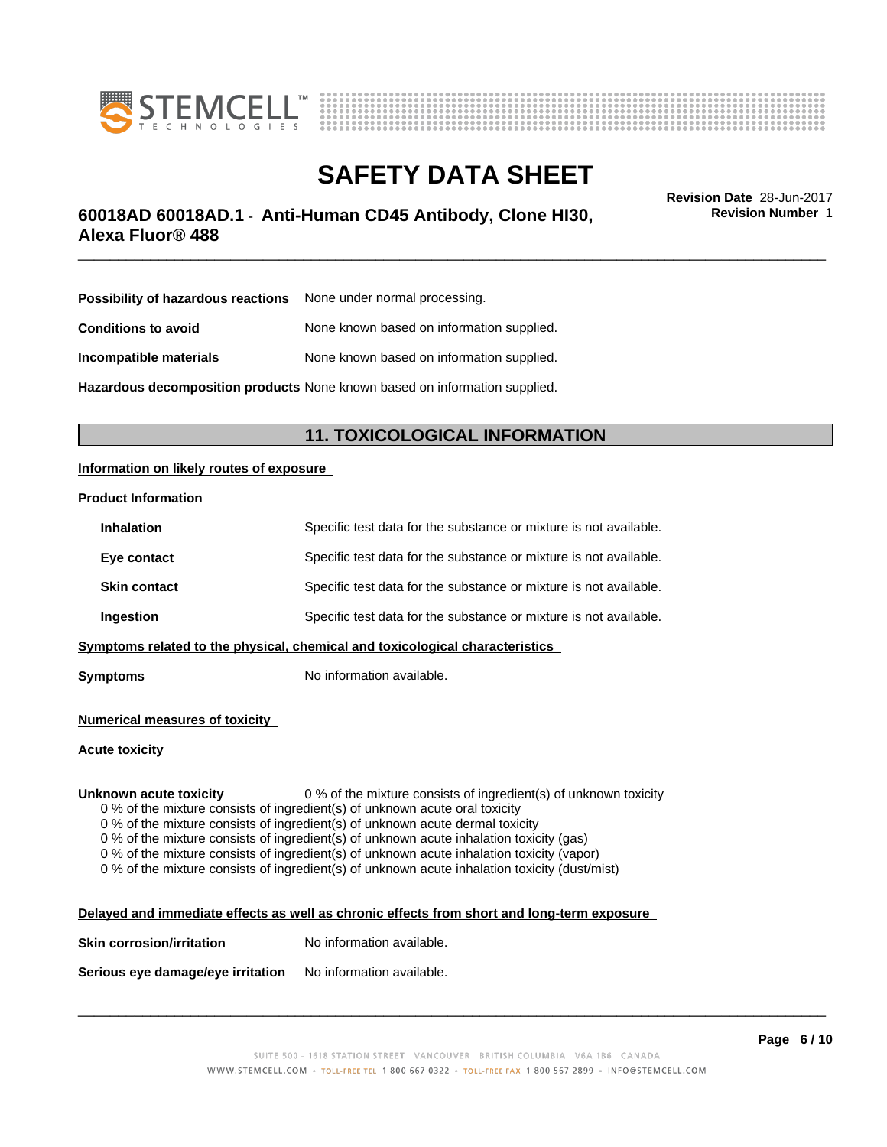



# **SAFETY DATA SHEET**<br>Revision Date 28-Jun-2017

# \_\_\_\_\_\_\_\_\_\_\_\_\_\_\_\_\_\_\_\_\_\_\_\_\_\_\_\_\_\_\_\_\_\_\_\_\_\_\_\_\_\_\_\_\_\_\_\_\_\_\_\_\_\_\_\_\_\_\_\_\_\_\_\_\_\_\_\_\_\_\_\_\_\_\_\_\_\_\_\_\_\_\_\_\_\_\_\_\_\_\_\_\_ **Revision Date** 28-Jun-2017 **60018AD 60018AD.1** - **Anti-Human CD45 Antibody, Clone HI30, Alexa Fluor® 488**

**Revision Number** 1

| <b>Possibility of hazardous reactions</b> None under normal processing. |
|-------------------------------------------------------------------------|
| None known based on information supplied.                               |
| None known based on information supplied.                               |
|                                                                         |

**Hazardous decomposition products** None known based on information supplied.

# **11. TOXICOLOGICAL INFORMATION**

### **Information on likely routes of exposure**

### **Product Information**

| <b>Inhalation</b>                                                            | Specific test data for the substance or mixture is not available. |  |
|------------------------------------------------------------------------------|-------------------------------------------------------------------|--|
| Eye contact                                                                  | Specific test data for the substance or mixture is not available. |  |
| <b>Skin contact</b>                                                          | Specific test data for the substance or mixture is not available. |  |
| Ingestion                                                                    | Specific test data for the substance or mixture is not available. |  |
| Symptoms related to the physical, chemical and toxicological characteristics |                                                                   |  |

**Symptoms** No information available.

**Numerical measures of toxicity**

**Acute toxicity**

**Unknown acute toxicity** 0 % of the mixture consists of ingredient(s) of unknown toxicity

0 % of the mixture consists of ingredient(s) of unknown acute oral toxicity

0 % of the mixture consists of ingredient(s) of unknown acute dermal toxicity

 $0$  % of the mixture consists of ingredient(s) of unknown acute inhalation toxicity (gas)

0 % of the mixture consists of ingredient(s) of unknown acute inhalation toxicity (vapor)

0 % of the mixture consists of ingredient(s) of unknown acute inhalation toxicity (dust/mist)

#### **Delayed and immediate effects as well as chronic effects from short and long-term exposure**

**Skin corrosion/irritation** No information available.

**Serious eye damage/eye irritation** No information available.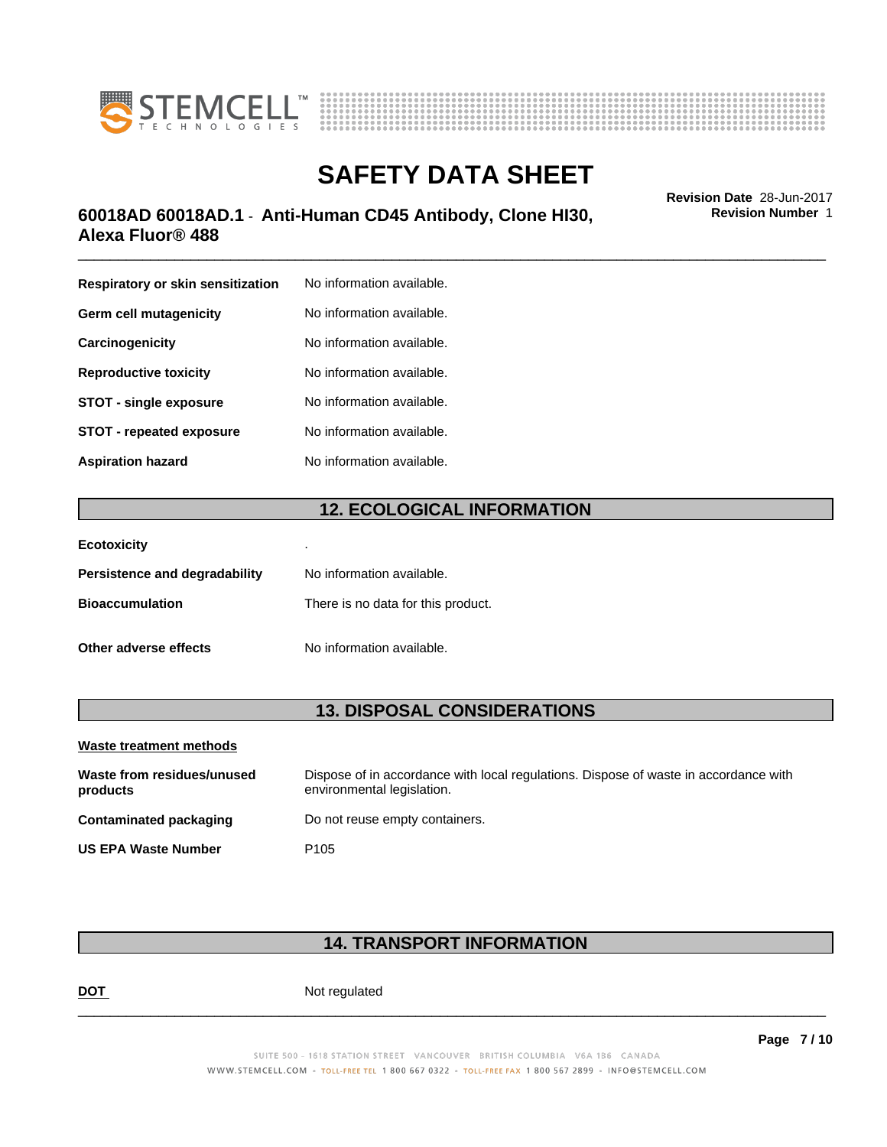



# \_\_\_\_\_\_\_\_\_\_\_\_\_\_\_\_\_\_\_\_\_\_\_\_\_\_\_\_\_\_\_\_\_\_\_\_\_\_\_\_\_\_\_\_\_\_\_\_\_\_\_\_\_\_\_\_\_\_\_\_\_\_\_\_\_\_\_\_\_\_\_\_\_\_\_\_\_\_\_\_\_\_\_\_\_\_\_\_\_\_\_\_\_ **Revision Date** 28-Jun-2017 **60018AD 60018AD.1** - **Anti-Human CD45 Antibody, Clone HI30, Alexa Fluor® 488**

**Respiratory or skin sensitization** No information available. **Germ cell mutagenicity** No information available. **Carcinogenicity** No information available. **Reproductive toxicity** No information available. **STOT** - **single exposure** No information available. **STOT** - **repeated exposure** No information available. **Aspiration hazard** No information available.

# **12. ECOLOGICAL INFORMATION**

| <b>Ecotoxicity</b>            |                                    |
|-------------------------------|------------------------------------|
| Persistence and degradability | No information available.          |
| <b>Bioaccumulation</b>        | There is no data for this product. |
| Other adverse effects         | No information available.          |

# **13. DISPOSAL CONSIDERATIONS**

| Waste treatment methods                |                                                                                                                    |
|----------------------------------------|--------------------------------------------------------------------------------------------------------------------|
| Waste from residues/unused<br>products | Dispose of in accordance with local regulations. Dispose of waste in accordance with<br>environmental legislation. |
| Contaminated packaging                 | Do not reuse empty containers.                                                                                     |
| <b>US EPA Waste Number</b>             | P <sub>105</sub>                                                                                                   |

# **14. TRANSPORT INFORMATION**

**DOT** Not regulated

 $\overline{\phantom{a}}$  ,  $\overline{\phantom{a}}$  ,  $\overline{\phantom{a}}$  ,  $\overline{\phantom{a}}$  ,  $\overline{\phantom{a}}$  ,  $\overline{\phantom{a}}$  ,  $\overline{\phantom{a}}$  ,  $\overline{\phantom{a}}$  ,  $\overline{\phantom{a}}$  ,  $\overline{\phantom{a}}$  ,  $\overline{\phantom{a}}$  ,  $\overline{\phantom{a}}$  ,  $\overline{\phantom{a}}$  ,  $\overline{\phantom{a}}$  ,  $\overline{\phantom{a}}$  ,  $\overline{\phantom{a}}$ 

**Revision Number** 1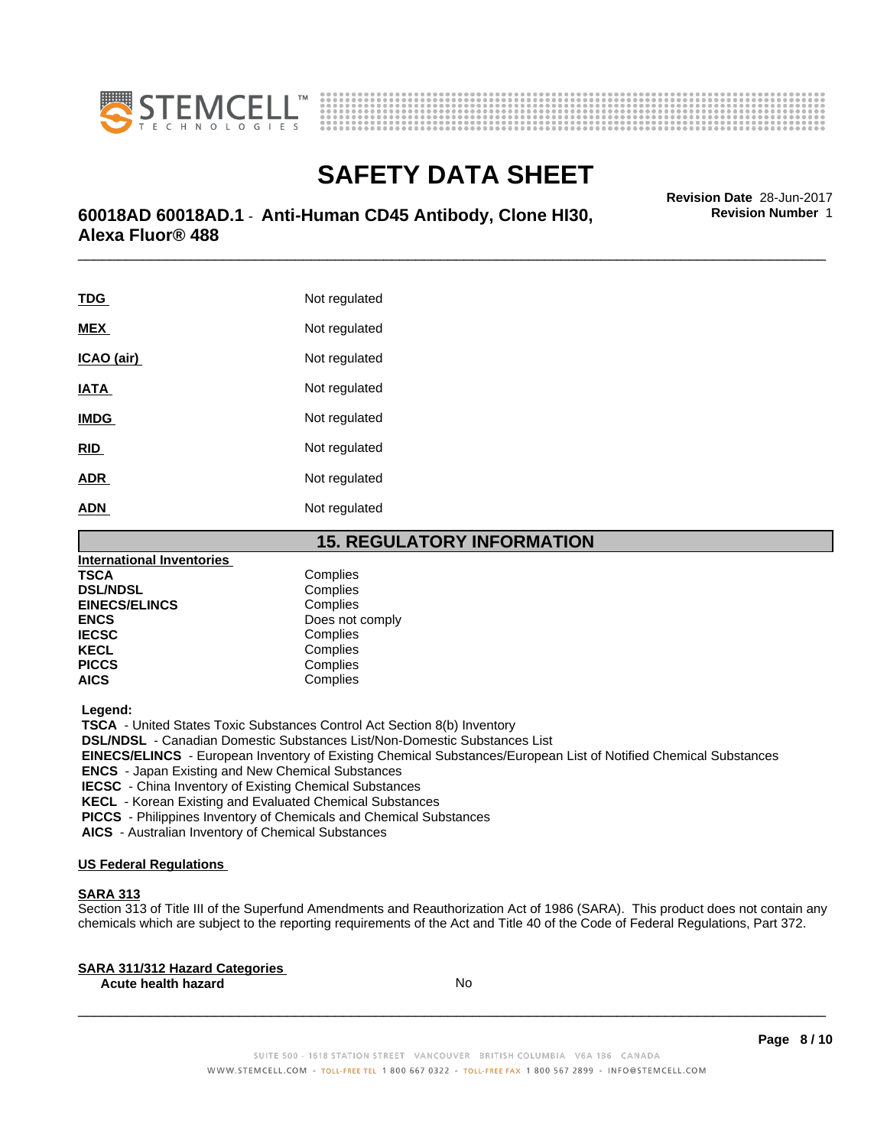



# \_\_\_\_\_\_\_\_\_\_\_\_\_\_\_\_\_\_\_\_\_\_\_\_\_\_\_\_\_\_\_\_\_\_\_\_\_\_\_\_\_\_\_\_\_\_\_\_\_\_\_\_\_\_\_\_\_\_\_\_\_\_\_\_\_\_\_\_\_\_\_\_\_\_\_\_\_\_\_\_\_\_\_\_\_\_\_\_\_\_\_\_\_ **Revision Date** 28-Jun-2017 **60018AD 60018AD.1** - **Anti-Human CD45 Antibody, Clone HI30, Alexa Fluor® 488**

| <b>TDG</b>  | Not regulated |
|-------------|---------------|
| <b>MEX</b>  | Not regulated |
| ICAO (air)  | Not regulated |
| <u>IATA</u> | Not regulated |
| <b>IMDG</b> | Not regulated |
| <b>RID</b>  | Not regulated |
| <b>ADR</b>  | Not regulated |
| ADN         | Not regulated |

**15. REGULATORY INFORMATION**

| International Inventories |                 |
|---------------------------|-----------------|
| <b>TSCA</b>               | Complies        |
| <b>DSL/NDSL</b>           | Complies        |
| <b>EINECS/ELINCS</b>      | Complies        |
| <b>ENCS</b>               | Does not comply |
| <b>IECSC</b>              | Complies        |
| <b>KECL</b>               | Complies        |
| <b>PICCS</b>              | Complies        |
| <b>AICS</b>               | Complies        |

 **Legend:**

 **TSCA** - United States Toxic Substances Control Act Section 8(b) Inventory  **DSL/NDSL** - Canadian Domestic Substances List/Non-Domestic Substances List  **EINECS/ELINCS** - European Inventory of Existing Chemical Substances/European List of Notified Chemical Substances  **ENCS** - Japan Existing and New Chemical Substances  **IECSC** - China Inventory of Existing Chemical Substances  **KECL** - Korean Existing and Evaluated Chemical Substances  **PICCS** - Philippines Inventory of Chemicals and Chemical Substances

 **AICS** - Australian Inventory of Chemical Substances

### **US Federal Regulations**

### **SARA 313**

Section 313 of Title III of the Superfund Amendments and Reauthorization Act of 1986 (SARA). This product does not contain any chemicals which are subject to the reporting requirements of the Act and Title 40 of the Code of Federal Regulations, Part 372.

| <b>SARA 311/312 Hazard Categories</b> |  |
|---------------------------------------|--|
|                                       |  |

**Acute health hazard** No

**Page 8 / 10**

**Revision Number** 1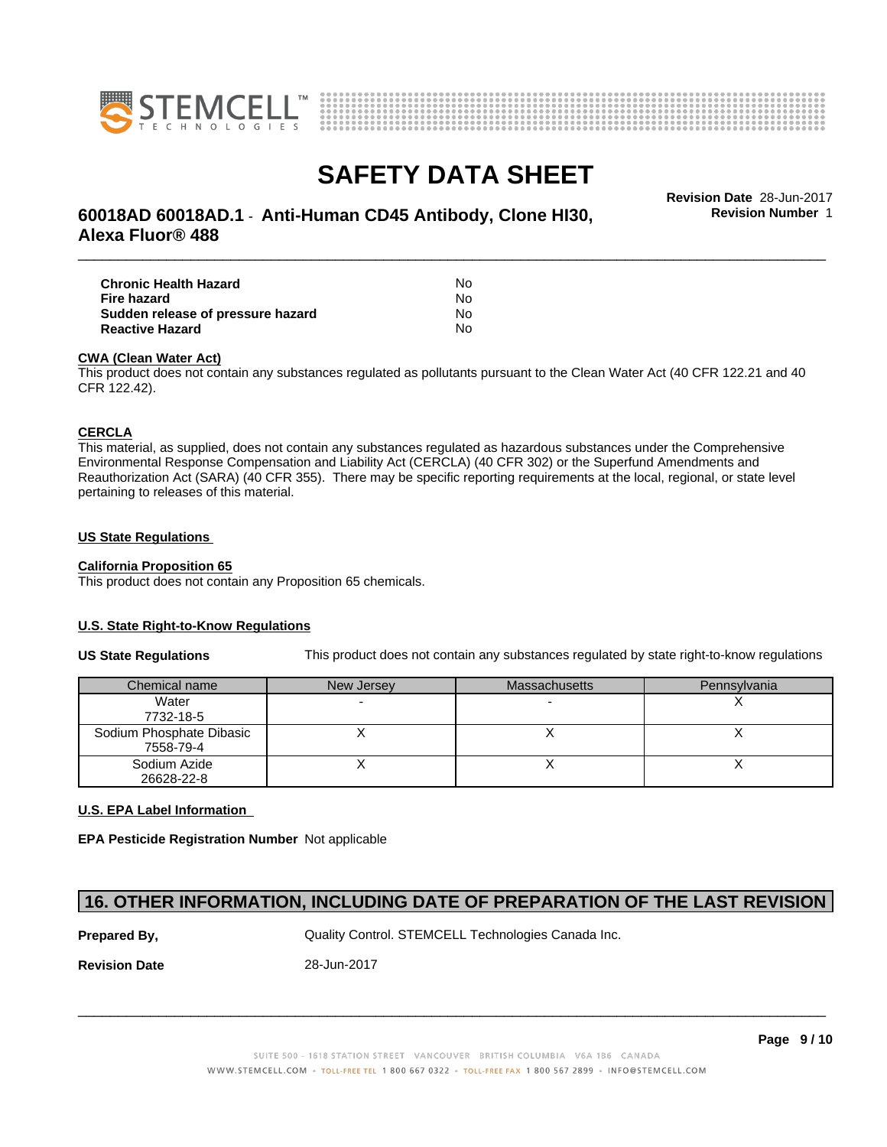



# \_\_\_\_\_\_\_\_\_\_\_\_\_\_\_\_\_\_\_\_\_\_\_\_\_\_\_\_\_\_\_\_\_\_\_\_\_\_\_\_\_\_\_\_\_\_\_\_\_\_\_\_\_\_\_\_\_\_\_\_\_\_\_\_\_\_\_\_\_\_\_\_\_\_\_\_\_\_\_\_\_\_\_\_\_\_\_\_\_\_\_\_\_ **Revision Date** 28-Jun-2017 **60018AD 60018AD.1** - **Anti-Human CD45 Antibody, Clone HI30, Alexa Fluor® 488**

**Revision Number** 1

| <b>Chronic Health Hazard</b>      | N٥ |  |
|-----------------------------------|----|--|
| Fire hazard                       | N٥ |  |
| Sudden release of pressure hazard | N٥ |  |
| <b>Reactive Hazard</b>            | N٥ |  |

### **CWA** (Clean Water Act)

This product does not contain any substances regulated as pollutants pursuant to the Clean Water Act (40 CFR 122.21 and 40 CFR 122.42).

### **CERCLA**

This material, as supplied, does not contain any substances regulated as hazardous substances under the Comprehensive Environmental Response Compensation and Liability Act (CERCLA) (40 CFR 302) or the Superfund Amendments and Reauthorization Act (SARA) (40 CFR 355). There may be specific reporting requirements at the local, regional, or state level pertaining to releases of this material.

### **US State Regulations**

### **California Proposition 65**

This product does not contain any Proposition 65 chemicals.

### **U.S. State Right-to-Know Regulations**

**US State Regulations** This product does not contain any substances regulated by state right-to-know regulations

| Chemical name            | New Jersey | <b>Massachusetts</b> | Pennsylvania |
|--------------------------|------------|----------------------|--------------|
| Water                    |            |                      |              |
| 7732-18-5                |            |                      |              |
| Sodium Phosphate Dibasic |            |                      |              |
| 7558-79-4                |            |                      |              |
| Sodium Azide             |            |                      |              |
| 26628-22-8               |            |                      |              |

### **U.S. EPA Label Information**

**EPA Pesticide Registration Number** Notapplicable

# **16. OTHER INFORMATION, INCLUDING DATE OF PREPARATION OF THE LAST REVISION**

**Prepared By, State Control. STEMCELL Technologies Canada Inc.** Canada Inc.

**Revision Date** 28-Jun-2017